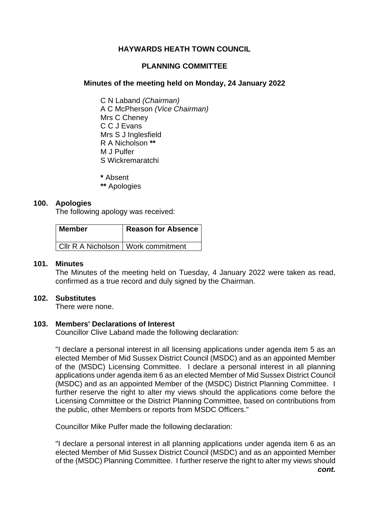# **HAYWARDS HEATH TOWN COUNCIL**

# **PLANNING COMMITTEE**

# **Minutes of the meeting held on Monday, 24 January 2022**

C N Laband *(Chairman)* A C McPherson *(Vice Chairman)* Mrs C Cheney C C J Evans Mrs S J Inglesfield R A Nicholson **\*\*** M J Pulfer S Wickremaratchi

**\*** Absent

**\*\*** Apologies

### **100. Apologies**

The following apology was received:

| l Member                             | <b>Reason for Absence</b> |
|--------------------------------------|---------------------------|
| CIIr R A Nicholson   Work commitment |                           |

### **101. Minutes**

The Minutes of the meeting held on Tuesday, 4 January 2022 were taken as read, confirmed as a true record and duly signed by the Chairman.

# **102. Substitutes**

There were none.

# **103. Members' Declarations of Interest**

Councillor Clive Laband made the following declaration:

"I declare a personal interest in all licensing applications under agenda item 5 as an elected Member of Mid Sussex District Council (MSDC) and as an appointed Member of the (MSDC) Licensing Committee. I declare a personal interest in all planning applications under agenda item 6 as an elected Member of Mid Sussex District Council (MSDC) and as an appointed Member of the (MSDC) District Planning Committee. I further reserve the right to alter my views should the applications come before the Licensing Committee or the District Planning Committee, based on contributions from the public, other Members or reports from MSDC Officers."

Councillor Mike Pulfer made the following declaration:

"I declare a personal interest in all planning applications under agenda item 6 as an elected Member of Mid Sussex District Council (MSDC) and as an appointed Member of the (MSDC) Planning Committee. I further reserve the right to alter my views should *cont.*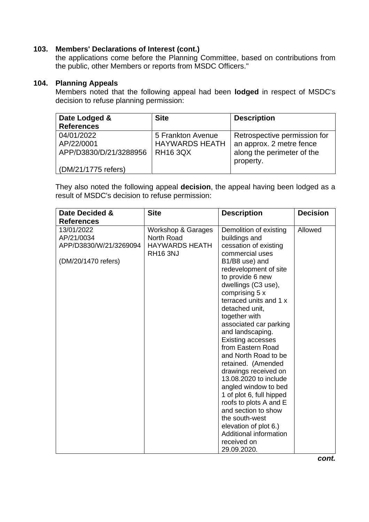# **103. Members' Declarations of Interest (cont.)**

the applications come before the Planning Committee, based on contributions from the public, other Members or reports from MSDC Officers."

# **104. Planning Appeals**

Members noted that the following appeal had been **lodged** in respect of MSDC's decision to refuse planning permission:

| Date Lodged &          | <b>Site</b>           | <b>Description</b>           |
|------------------------|-----------------------|------------------------------|
| <b>References</b>      |                       |                              |
| 04/01/2022             | 5 Frankton Avenue     | Retrospective permission for |
| AP/22/0001             | <b>HAYWARDS HEATH</b> | an approx. 2 metre fence     |
| APP/D3830/D/21/3288956 | <b>RH16 3QX</b>       | along the perimeter of the   |
|                        |                       | property.                    |
| (DM/21/1775 refers)    |                       |                              |

They also noted the following appeal **decision**, the appeal having been lodged as a result of MSDC's decision to refuse permission:

| Date Decided &                                                            | <b>Site</b>                                                                  | <b>Description</b>                                                                                                                                                                                                                                                                                                                                                                                                                                                                                                                                                                                                                                             | <b>Decision</b> |
|---------------------------------------------------------------------------|------------------------------------------------------------------------------|----------------------------------------------------------------------------------------------------------------------------------------------------------------------------------------------------------------------------------------------------------------------------------------------------------------------------------------------------------------------------------------------------------------------------------------------------------------------------------------------------------------------------------------------------------------------------------------------------------------------------------------------------------------|-----------------|
| <b>References</b>                                                         |                                                                              |                                                                                                                                                                                                                                                                                                                                                                                                                                                                                                                                                                                                                                                                |                 |
| 13/01/2022<br>AP/21/0034<br>APP/D3830/W/21/3269094<br>(DM/20/1470 refers) | Workshop & Garages<br>North Road<br><b>HAYWARDS HEATH</b><br><b>RH16 3NJ</b> | Demolition of existing<br>buildings and<br>cessation of existing<br>commercial uses<br>B1/B8 use) and<br>redevelopment of site<br>to provide 6 new<br>dwellings (C3 use),<br>comprising 5 x<br>terraced units and 1 x<br>detached unit,<br>together with<br>associated car parking<br>and landscaping.<br><b>Existing accesses</b><br>from Eastern Road<br>and North Road to be<br>retained. (Amended<br>drawings received on<br>13.08.2020 to include<br>angled window to bed<br>1 of plot 6, full hipped<br>roofs to plots A and E<br>and section to show<br>the south-west<br>elevation of plot 6.)<br>Additional information<br>received on<br>29.09.2020. | Allowed         |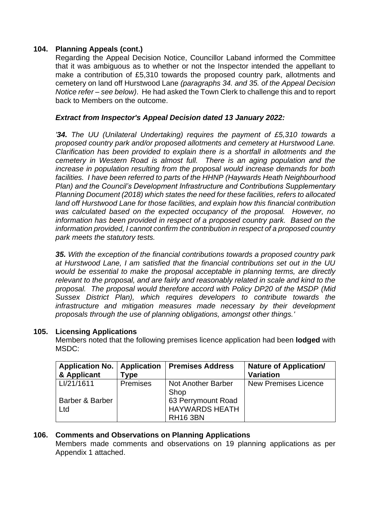# **104. Planning Appeals (cont.)**

Regarding the Appeal Decision Notice, Councillor Laband informed the Committee that it was ambiguous as to whether or not the Inspector intended the appellant to make a contribution of £5,310 towards the proposed country park, allotments and cemetery on land off Hurstwood Lane *(paragraphs 34. and 35. of the Appeal Decision Notice refer – see below)*. He had asked the Town Clerk to challenge this and to report back to Members on the outcome.

# *Extract from Inspector's Appeal Decision dated 13 January 2022:*

*'34. The UU (Unilateral Undertaking) requires the payment of £5,310 towards a proposed country park and/or proposed allotments and cemetery at Hurstwood Lane. Clarification has been provided to explain there is a shortfall in allotments and the cemetery in Western Road is almost full. There is an aging population and the increase in population resulting from the proposal would increase demands for both facilities. I have been referred to parts of the HHNP (Haywards Heath Neighbourhood Plan) and the Council's Development Infrastructure and Contributions Supplementary Planning Document (2018) which states the need for these facilities, refers to allocated land off Hurstwood Lane for those facilities, and explain how this financial contribution was calculated based on the expected occupancy of the proposal. However, no information has been provided in respect of a proposed country park. Based on the information provided, I cannot confirm the contribution in respect of a proposed country park meets the statutory tests.*

*35. With the exception of the financial contributions towards a proposed country park at Hurstwood Lane, I am satisfied that the financial contributions set out in the UU would be essential to make the proposal acceptable in planning terms, are directly relevant to the proposal, and are fairly and reasonably related in scale and kind to the proposal. The proposal would therefore accord with Policy DP20 of the MSDP (Mid Sussex District Plan), which requires developers to contribute towards the infrastructure and mitigation measures made necessary by their development proposals through the use of planning obligations, amongst other things.'*

# **105. Licensing Applications**

Members noted that the following premises licence application had been **lodged** with MSDC:

| <b>Application No.</b><br>& Applicant | <b>Application</b><br>Гуре | <b>Premises Address</b>                                        | <b>Nature of Application/</b><br><b>Variation</b> |
|---------------------------------------|----------------------------|----------------------------------------------------------------|---------------------------------------------------|
| LI/21/1611                            | <b>Premises</b>            | Not Another Barber<br>Shop                                     | <b>New Premises Licence</b>                       |
| Barber & Barber<br>Ltd                |                            | 63 Perrymount Road<br><b>HAYWARDS HEATH</b><br><b>RH16 3BN</b> |                                                   |

# **106. Comments and Observations on Planning Applications**

Members made comments and observations on 19 planning applications as per Appendix 1 attached.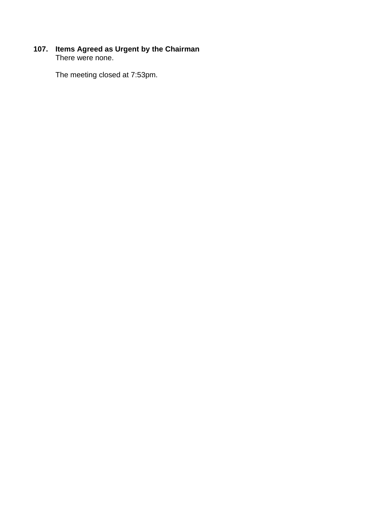# **107. Items Agreed as Urgent by the Chairman** There were none.

The meeting closed at 7:53pm.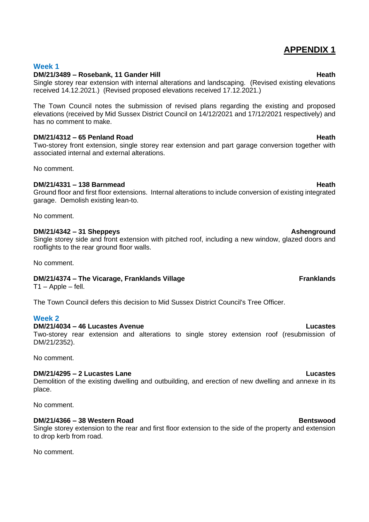# **APPENDIX 1**

# **Week 1**

# **DM/21/3489 – Rosebank, 11 Gander Hill Heath**

Single storey rear extension with internal alterations and landscaping. (Revised existing elevations received 14.12.2021.) (Revised proposed elevations received 17.12.2021.)

The Town Council notes the submission of revised plans regarding the existing and proposed elevations (received by Mid Sussex District Council on 14/12/2021 and 17/12/2021 respectively) and has no comment to make.

# **DM/21/4312 – 65 Penland Road Heath**

Two-storey front extension, single storey rear extension and part garage conversion together with associated internal and external alterations.

No comment.

# **DM/21/4331 – 138 Barnmead Heath**

Ground floor and first floor extensions. Internal alterations to include conversion of existing integrated garage. Demolish existing lean-to.

No comment.

# **DM/21/4342 – 31 Sheppeys Ashenground**

Single storey side and front extension with pitched roof, including a new window, glazed doors and rooflights to the rear ground floor walls.

No comment.

# **DM/21/4374 – The Vicarage, Franklands Village <b>Franklands Franklands**

 $T1 - Apple - fell.$ 

The Town Council defers this decision to Mid Sussex District Council's Tree Officer.

# **Week 2**

# **DM/21/4034 – 46 Lucastes Avenue Lucastes**

Two-storey rear extension and alterations to single storey extension roof (resubmission of DM/21/2352).

No comment.

# **DM/21/4295 – 2 Lucastes Lane Lucastes**

Demolition of the existing dwelling and outbuilding, and erection of new dwelling and annexe in its place.

No comment.

# **DM/21/4366 – 38 Western Road Bentswood**

Single storey extension to the rear and first floor extension to the side of the property and extension to drop kerb from road.

No comment.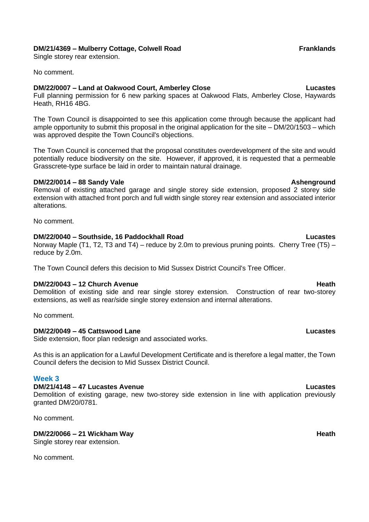### **DM/21/4369 – Mulberry Cottage, Colwell Road Franklands**

Single storey rear extension.

No comment.

### **DM/22/0007 – Land at Oakwood Court, Amberley Close Lucastes**

Full planning permission for 6 new parking spaces at Oakwood Flats, Amberley Close, Haywards Heath, RH16 4BG.

The Town Council is disappointed to see this application come through because the applicant had ample opportunity to submit this proposal in the original application for the site – DM/20/1503 – which was approved despite the Town Council's objections.

The Town Council is concerned that the proposal constitutes overdevelopment of the site and would potentially reduce biodiversity on the site. However, if approved, it is requested that a permeable Grasscrete-type surface be laid in order to maintain natural drainage.

### **DM/22/0014 – 88 Sandy Vale Ashenground**

Removal of existing attached garage and single storey side extension, proposed 2 storey side extension with attached front porch and full width single storey rear extension and associated interior alterations.

No comment.

### **DM/22/0040 – Southside, 16 Paddockhall Road Lucastes**

Norway Maple (T1, T2, T3 and T4) – reduce by 2.0m to previous pruning points. Cherry Tree (T5) – reduce by 2.0m.

The Town Council defers this decision to Mid Sussex District Council's Tree Officer.

# **DM/22/0043 – 12 Church Avenue Heath**

Demolition of existing side and rear single storey extension. Construction of rear two-storey extensions, as well as rear/side single storey extension and internal alterations.

No comment.

### **DM/22/0049 – 45 Cattswood Lane Lucastes**

Side extension, floor plan redesign and associated works.

As this is an application for a Lawful Development Certificate and is therefore a legal matter, the Town Council defers the decision to Mid Sussex District Council.

### **Week 3**

### **DM/21/4148 – 47 Lucastes Avenue Lucastes**

Demolition of existing garage, new two-storey side extension in line with application previously granted DM/20/0781.

No comment.

# **DM/22/0066 – 21 Wickham Way Heath**

Single storey rear extension.

No comment.